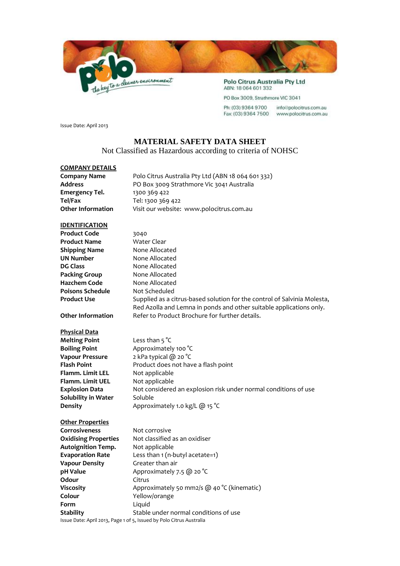

PO Box 3009, Strathmore VIC 3041

Ph: (03) 9364 9700 info@polocitrus.com.au Fax: (03) 9364 7500 www.polocitrus.com.au

Issue Date: April 2013

## **MATERIAL SAFETY DATA SHEET**

Not Classified as Hazardous according to criteria of NOHSC

## **COMPANY DETAILS**

| <b>Company Name</b>         | Polo Citrus Australia Pty Ltd (ABN 18 064 601 332)                       |
|-----------------------------|--------------------------------------------------------------------------|
| <b>Address</b>              | PO Box 3009 Strathmore Vic 3041 Australia                                |
| <b>Emergency Tel.</b>       | 1300 369 422                                                             |
| Tel/Fax                     | Tel: 1300 369 422                                                        |
| <b>Other Information</b>    | Visit our website: www.polocitrus.com.au                                 |
| <b>IDENTIFICATION</b>       |                                                                          |
| <b>Product Code</b>         | 3040                                                                     |
| <b>Product Name</b>         | <b>Water Clear</b>                                                       |
| <b>Shipping Name</b>        | None Allocated                                                           |
| <b>UN Number</b>            | None Allocated                                                           |
| <b>DG Class</b>             | None Allocated                                                           |
| <b>Packing Group</b>        | None Allocated                                                           |
| <b>Hazchem Code</b>         | None Allocated                                                           |
| <b>Poisons Schedule</b>     | Not Scheduled                                                            |
| <b>Product Use</b>          | Supplied as a citrus-based solution for the control of Salvinia Molesta, |
|                             | Red Azolla and Lemna in ponds and other suitable applications only.      |
| <b>Other Information</b>    | Refer to Product Brochure for further details.                           |
| <b>Physical Data</b>        |                                                                          |
| <b>Melting Point</b>        | Less than $5^{\circ}C$                                                   |
| <b>Boiling Point</b>        | Approximately 100 °C                                                     |
| <b>Vapour Pressure</b>      | 2 kPa typical @ 20 °C                                                    |
| <b>Flash Point</b>          | Product does not have a flash point                                      |
| <b>Flamm. Limit LEL</b>     | Not applicable                                                           |
| <b>Flamm. Limit UEL</b>     | Not applicable                                                           |
| <b>Explosion Data</b>       | Not considered an explosion risk under normal conditions of use          |
| Solubility in Water         | Soluble                                                                  |
| <b>Density</b>              | Approximately 1.0 kg/L @ 15 °C                                           |
| <b>Other Properties</b>     |                                                                          |
| <b>Corrosiveness</b>        | Not corrosive                                                            |
| <b>Oxidising Properties</b> | Not classified as an oxidiser                                            |
| Autoignition Temp.          | Not applicable                                                           |
| <b>Evaporation Rate</b>     | Less than 1 (n-butyl acetate=1)                                          |
| <b>Vapour Density</b>       | Greater than air                                                         |
| pH Value                    | Approximately 7.5 @ 20 °C                                                |
| Odour                       | Citrus                                                                   |
| Viscosity                   | Approximately 50 mm2/s @ 40 °C (kinematic)                               |
| Colour                      | Yellow/orange                                                            |
| Form                        | Liquid                                                                   |
| Stability                   | Stable under normal conditions of use                                    |

Issue Date: April 2013, Page 1 of 5, Issued by Polo Citrus Australia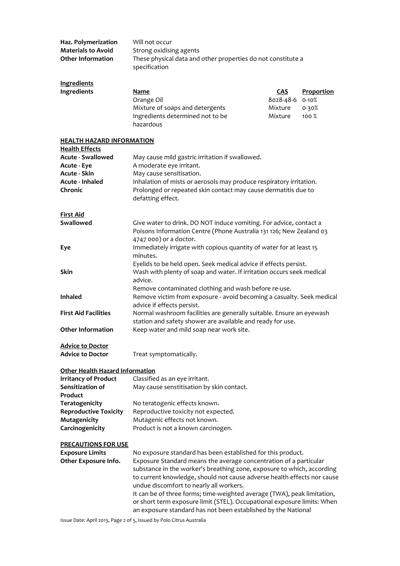| Haz. Polymerization                    | Will not occur                                                          |            |                   |
|----------------------------------------|-------------------------------------------------------------------------|------------|-------------------|
| <b>Materials to Avoid</b>              | Strong oxidising agents                                                 |            |                   |
| <b>Other Information</b>               | These physical data and other properties do not constitute a            |            |                   |
|                                        | specification                                                           |            |                   |
|                                        |                                                                         |            |                   |
| <b>Ingredients</b>                     |                                                                         |            |                   |
| Ingredients                            | Name                                                                    | <b>CAS</b> | <b>Proportion</b> |
|                                        |                                                                         | 8028-48-6  | $0 - 10%$         |
|                                        | Orange Oil                                                              |            |                   |
|                                        | Mixture of soaps and detergents                                         | Mixture    | 0-30%             |
|                                        | Ingredients determined not to be                                        | Mixture    | 100%              |
|                                        | hazardous                                                               |            |                   |
|                                        |                                                                         |            |                   |
| <b>HEALTH HAZARD INFORMATION</b>       |                                                                         |            |                   |
| <b>Health Effects</b>                  |                                                                         |            |                   |
| <b>Acute - Swallowed</b>               | May cause mild gastric irritation if swallowed.                         |            |                   |
| Acute - Eye                            | A moderate eye irritant.                                                |            |                   |
| <b>Acute - Skin</b>                    | May cause sensitisation.                                                |            |                   |
| Acute - Inhaled                        | Inhalation of mists or aerosols may produce respiratory irritation.     |            |                   |
| Chronic                                | Prolonged or repeated skin contact may cause dermatitis due to          |            |                   |
|                                        | defatting effect.                                                       |            |                   |
|                                        |                                                                         |            |                   |
| <b>First Aid</b>                       |                                                                         |            |                   |
| Swallowed                              | Give water to drink. DO NOT induce vomiting. For advice, contact a      |            |                   |
|                                        | Poisons Information Centre (Phone Australia 131 126; New Zealand 03     |            |                   |
|                                        |                                                                         |            |                   |
|                                        | 4747 000) or a doctor.                                                  |            |                   |
| Eye                                    | Immediately irrigate with copious quantity of water for at least 15     |            |                   |
|                                        | minutes.                                                                |            |                   |
|                                        | Eyelids to be held open. Seek medical advice if effects persist.        |            |                   |
| <b>Skin</b>                            | Wash with plenty of soap and water. If irritation occurs seek medical   |            |                   |
|                                        | advice.                                                                 |            |                   |
|                                        | Remove contaminated clothing and wash before re-use.                    |            |                   |
| <b>Inhaled</b>                         | Remove victim from exposure - avoid becoming a casualty. Seek medical   |            |                   |
|                                        | advice if effects persist.                                              |            |                   |
| <b>First Aid Facilities</b>            | Normal washroom facilities are generally suitable. Ensure an eyewash    |            |                   |
|                                        | station and safety shower are available and ready for use.              |            |                   |
| <b>Other Information</b>               | Keep water and mild soap near work site.                                |            |                   |
|                                        |                                                                         |            |                   |
| <b>Advice to Doctor</b>                |                                                                         |            |                   |
| <b>Advice to Doctor</b>                | Treat symptomatically.                                                  |            |                   |
|                                        |                                                                         |            |                   |
| <b>Other Health Hazard Information</b> |                                                                         |            |                   |
| <b>Irritancy of Product</b>            | Classified as an eye irritant.                                          |            |                   |
| Sensitization of                       | May cause senstitisation by skin contact.                               |            |                   |
| Product                                |                                                                         |            |                   |
|                                        |                                                                         |            |                   |
| <b>Teratogenicity</b>                  | No teratogenic effects known.                                           |            |                   |
| <b>Reproductive Toxicity</b>           | Reproductive toxicity not expected.                                     |            |                   |
| Mutagenicity                           | Mutagenic effects not known.                                            |            |                   |
| Carcinogenicity                        | Product is not a known carcinogen.                                      |            |                   |
|                                        |                                                                         |            |                   |
| <b>PRECAUTIONS FOR USE</b>             |                                                                         |            |                   |
| <b>Exposure Limits</b>                 | No exposure standard has been established for this product.             |            |                   |
| Other Exposure Info.                   | Exposure Standard means the average concentration of a particular       |            |                   |
|                                        | substance in the worker's breathing zone, exposure to which, according  |            |                   |
|                                        | to current knowledge, should not cause adverse health effects nor cause |            |                   |
|                                        | undue discomfort to nearly all workers.                                 |            |                   |
|                                        | It can be of three forms; time-weighted average (TWA), peak limitation, |            |                   |
|                                        | or short term exposure limit (STEL). Occupational exposure limits: When |            |                   |
|                                        | an exposure standard has not been established by the National           |            |                   |
|                                        |                                                                         |            |                   |

Issue Date: April 2013, Page 2 of 5, Issued by Polo Citrus Australia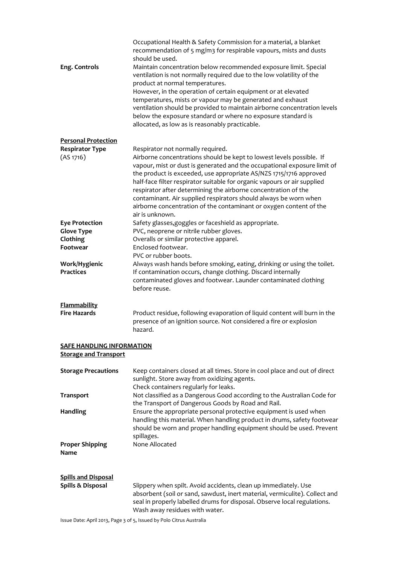|                                                                  | Occupational Health & Safety Commission for a material, a blanket<br>recommendation of 5 mg/m3 for respirable vapours, mists and dusts<br>should be used.                                                                                                                                                                                                                                                                                                                                                                         |
|------------------------------------------------------------------|-----------------------------------------------------------------------------------------------------------------------------------------------------------------------------------------------------------------------------------------------------------------------------------------------------------------------------------------------------------------------------------------------------------------------------------------------------------------------------------------------------------------------------------|
| Eng. Controls                                                    | Maintain concentration below recommended exposure limit. Special<br>ventilation is not normally required due to the low volatility of the<br>product at normal temperatures.<br>However, in the operation of certain equipment or at elevated<br>temperatures, mists or vapour may be generated and exhaust<br>ventilation should be provided to maintain airborne concentration levels<br>below the exposure standard or where no exposure standard is<br>allocated, as low as is reasonably practicable.                        |
| <b>Personal Protection</b>                                       |                                                                                                                                                                                                                                                                                                                                                                                                                                                                                                                                   |
| <b>Respirator Type</b>                                           | Respirator not normally required.                                                                                                                                                                                                                                                                                                                                                                                                                                                                                                 |
| (AS 1716)                                                        | Airborne concentrations should be kept to lowest levels possible. If<br>vapour, mist or dust is generated and the occupational exposure limit of<br>the product is exceeded, use appropriate AS/NZS 1715/1716 approved<br>half-face filter respirator suitable for organic vapours or air supplied<br>respirator after determining the airborne concentration of the<br>contaminant. Air supplied respirators should always be worn when<br>airborne concentration of the contaminant or oxygen content of the<br>air is unknown. |
| <b>Eye Protection</b>                                            | Safety glasses, goggles or faceshield as appropriate.                                                                                                                                                                                                                                                                                                                                                                                                                                                                             |
| <b>Glove Type</b>                                                | PVC, neoprene or nitrile rubber gloves.                                                                                                                                                                                                                                                                                                                                                                                                                                                                                           |
| Clothing<br>Footwear                                             | Overalls or similar protective apparel.<br>Enclosed footwear.                                                                                                                                                                                                                                                                                                                                                                                                                                                                     |
|                                                                  | PVC or rubber boots.                                                                                                                                                                                                                                                                                                                                                                                                                                                                                                              |
| Work/Hygienic<br><b>Practices</b>                                | Always wash hands before smoking, eating, drinking or using the toilet.<br>If contamination occurs, change clothing. Discard internally<br>contaminated gloves and footwear. Launder contaminated clothing<br>before reuse.                                                                                                                                                                                                                                                                                                       |
| <b>Flammability</b><br><b>Fire Hazards</b>                       | Product residue, following evaporation of liquid content will burn in the<br>presence of an ignition source. Not considered a fire or explosion<br>hazard.                                                                                                                                                                                                                                                                                                                                                                        |
| <b>SAFE HANDLING INFORMATION</b><br><b>Storage and Transport</b> |                                                                                                                                                                                                                                                                                                                                                                                                                                                                                                                                   |
| <b>Storage Precautions</b>                                       | Keep containers closed at all times. Store in cool place and out of direct<br>sunlight. Store away from oxidizing agents.<br>Check containers regularly for leaks.                                                                                                                                                                                                                                                                                                                                                                |
| <b>Transport</b>                                                 | Not classified as a Dangerous Good according to the Australian Code for<br>the Transport of Dangerous Goods by Road and Rail.                                                                                                                                                                                                                                                                                                                                                                                                     |
| <b>Handling</b>                                                  | Ensure the appropriate personal protective equipment is used when<br>handling this material. When handling product in drums, safety footwear<br>should be worn and proper handling equipment should be used. Prevent<br>spillages.                                                                                                                                                                                                                                                                                                |
| <b>Proper Shipping</b><br>Name                                   | None Allocated                                                                                                                                                                                                                                                                                                                                                                                                                                                                                                                    |
| <b>Spills and Disposal</b><br>Spills & Disposal                  | Slippery when spilt. Avoid accidents, clean up immediately. Use<br>absorbent (soil or sand, sawdust, inert material, vermiculite). Collect and<br>seal in properly labelled drums for disposal. Observe local regulations.<br>Wash away residues with water.                                                                                                                                                                                                                                                                      |
|                                                                  | Issue Date: April 2013, Page 3 of 5, Issued by Polo Citrus Australia                                                                                                                                                                                                                                                                                                                                                                                                                                                              |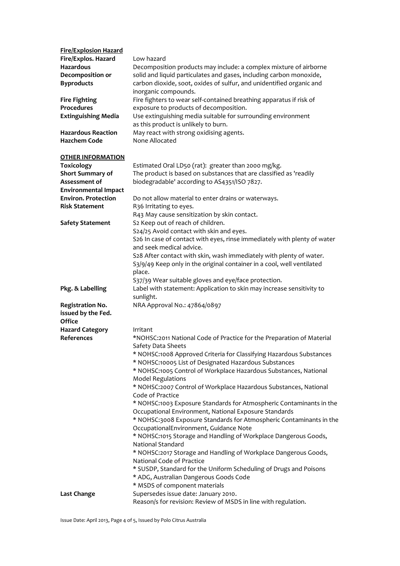| <b>Fire/Explosion Hazard</b><br>Fire/Explos. Hazard<br>Hazardous<br>Decomposition or<br><b>Byproducts</b><br><b>Fire Fighting</b><br>Procedures<br><b>Extinguishing Media</b><br><b>Hazardous Reaction</b><br><b>Hazchem Code</b> | Low hazard<br>Decomposition products may include: a complex mixture of airborne<br>solid and liquid particulates and gases, including carbon monoxide,<br>carbon dioxide, soot, oxides of sulfur, and unidentified organic and<br>inorganic compounds.<br>Fire fighters to wear self-contained breathing apparatus if risk of<br>exposure to products of decomposition.<br>Use extinguishing media suitable for surrounding environment<br>as this product is unlikely to burn.<br>May react with strong oxidising agents.<br>None Allocated |
|-----------------------------------------------------------------------------------------------------------------------------------------------------------------------------------------------------------------------------------|----------------------------------------------------------------------------------------------------------------------------------------------------------------------------------------------------------------------------------------------------------------------------------------------------------------------------------------------------------------------------------------------------------------------------------------------------------------------------------------------------------------------------------------------|
|                                                                                                                                                                                                                                   |                                                                                                                                                                                                                                                                                                                                                                                                                                                                                                                                              |
| <b>OTHER INFORMATION</b><br><b>Toxicology</b><br>Short Summary of<br>Assessment of<br><b>Environmental Impact</b>                                                                                                                 | Estimated Oral LD50 (rat): greater than 2000 mg/kg.<br>The product is based on substances that are classified as 'readily<br>biodegradable' according to AS4351/ISO 7827.                                                                                                                                                                                                                                                                                                                                                                    |
| <b>Environ. Protection</b>                                                                                                                                                                                                        | Do not allow material to enter drains or waterways.                                                                                                                                                                                                                                                                                                                                                                                                                                                                                          |
| <b>Risk Statement</b>                                                                                                                                                                                                             | R36 Irritating to eyes.                                                                                                                                                                                                                                                                                                                                                                                                                                                                                                                      |
| <b>Safety Statement</b>                                                                                                                                                                                                           | R43 May cause sensitization by skin contact.<br>S2 Keep out of reach of children.<br>S24/25 Avoid contact with skin and eyes.                                                                                                                                                                                                                                                                                                                                                                                                                |
|                                                                                                                                                                                                                                   | S26 In case of contact with eyes, rinse immediately with plenty of water<br>and seek medical advice.<br>S28 After contact with skin, wash immediately with plenty of water.<br>S3/9/49 Keep only in the original container in a cool, well ventilated<br>place.<br>S37/39 Wear suitable gloves and eye/face protection.                                                                                                                                                                                                                      |
| Pkg. & Labelling                                                                                                                                                                                                                  | Label with statement: Application to skin may increase sensitivity to<br>sunlight.                                                                                                                                                                                                                                                                                                                                                                                                                                                           |
| <b>Registration No.</b><br>issued by the Fed.<br><b>Office</b>                                                                                                                                                                    | NRA Approval No.: 47864/0897                                                                                                                                                                                                                                                                                                                                                                                                                                                                                                                 |
| <b>Hazard Category</b>                                                                                                                                                                                                            | Irritant                                                                                                                                                                                                                                                                                                                                                                                                                                                                                                                                     |
| References                                                                                                                                                                                                                        | *NOHSC:2011 National Code of Practice for the Preparation of Material                                                                                                                                                                                                                                                                                                                                                                                                                                                                        |
|                                                                                                                                                                                                                                   | Safety Data Sheets<br>* NOHSC:1008 Approved Criteria for Classifying Hazardous Substances                                                                                                                                                                                                                                                                                                                                                                                                                                                    |
|                                                                                                                                                                                                                                   | * NOHSC:10005 List of Designated Hazardous Substances                                                                                                                                                                                                                                                                                                                                                                                                                                                                                        |
|                                                                                                                                                                                                                                   | * NOHSC:1005 Control of Workplace Hazardous Substances, National<br><b>Model Regulations</b>                                                                                                                                                                                                                                                                                                                                                                                                                                                 |
|                                                                                                                                                                                                                                   | * NOHSC:2007 Control of Workplace Hazardous Substances, National<br>Code of Practice                                                                                                                                                                                                                                                                                                                                                                                                                                                         |
|                                                                                                                                                                                                                                   | * NOHSC:1003 Exposure Standards for Atmospheric Contaminants in the                                                                                                                                                                                                                                                                                                                                                                                                                                                                          |
|                                                                                                                                                                                                                                   | Occupational Environment, National Exposure Standards                                                                                                                                                                                                                                                                                                                                                                                                                                                                                        |
|                                                                                                                                                                                                                                   | * NOHSC:3008 Exposure Standards for Atmospheric Contaminants in the<br>OccupationalEnvironment, Guidance Note                                                                                                                                                                                                                                                                                                                                                                                                                                |
|                                                                                                                                                                                                                                   | * NOHSC:1015 Storage and Handling of Workplace Dangerous Goods,<br>National Standard                                                                                                                                                                                                                                                                                                                                                                                                                                                         |
|                                                                                                                                                                                                                                   | * NOHSC:2017 Storage and Handling of Workplace Dangerous Goods,                                                                                                                                                                                                                                                                                                                                                                                                                                                                              |
|                                                                                                                                                                                                                                   | National Code of Practice<br>* SUSDP, Standard for the Uniform Scheduling of Drugs and Poisons                                                                                                                                                                                                                                                                                                                                                                                                                                               |
|                                                                                                                                                                                                                                   | * ADG, Australian Dangerous Goods Code                                                                                                                                                                                                                                                                                                                                                                                                                                                                                                       |
|                                                                                                                                                                                                                                   | * MSDS of component materials                                                                                                                                                                                                                                                                                                                                                                                                                                                                                                                |
| <b>Last Change</b>                                                                                                                                                                                                                | Supersedes issue date: January 2010.<br>Reason/s for revision: Review of MSDS in line with regulation.                                                                                                                                                                                                                                                                                                                                                                                                                                       |

Issue Date: April 2013, Page 4 of 5, Issued by Polo Citrus Australia